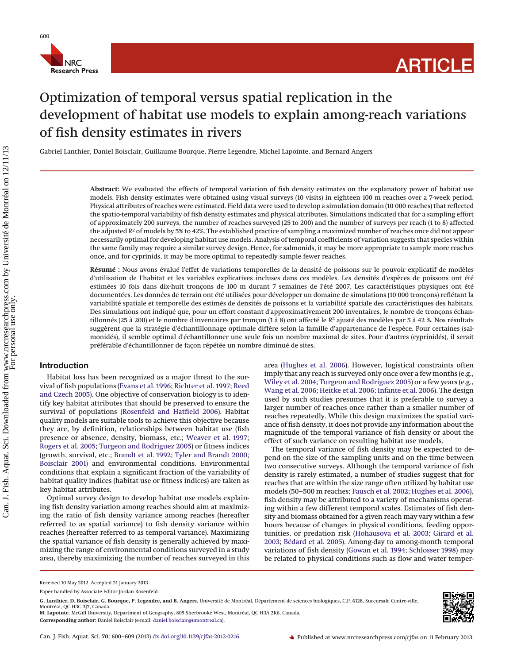

# Optimization of temporal versus spatial replication in the development of habitat use models to explain among-reach variations of fish density estimates in rivers

Gabriel Lanthier, Daniel Boisclair, Guillaume Bourque, Pierre Legendre, Michel Lapointe, and Bernard Angers

**Abstract:** We evaluated the effects of temporal variation of fish density estimates on the explanatory power of habitat use models. Fish density estimates were obtained using visual surveys (10 visits) in eighteen 100 m reaches over a 7-week period. Physical attributes of reaches were estimated. Field data were used to develop a simulation domain (10 000 reaches) that reflected the spatio-temporal variability of fish density estimates and physical attributes. Simulations indicated that for a sampling effort of approximately 200 surveys, the number of reaches surveyed (25 to 200) and the number of surveys per reach (1 to 8) affected the adjusted *R*<sup>2</sup> of models by 5% to 42%. The established practice of sampling a maximized number of reaches once did not appear necessarily optimal for developing habitat use models. Analysis of temporal coefficients of variation suggests that species within the same family may require a similar survey design. Hence, for salmonids, it may be more appropriate to sample more reaches once, and for cyprinids, it may be more optimal to repeatedly sample fewer reaches.

**Résumé :** Nous avons évalué l'effet de variations temporelles de la densité de poissons sur le pouvoir explicatif de modèles d'utilisation de l'habitat et les variables explicatives incluses dans ces modèles. Les densités d'espèces de poissons ont été estimées 10 fois dans dix-huit tronçons de 100 m durant 7 semaines de l'été 2007. Les caractéristiques physiques ont été documentées. Les données de terrain ont été utilisées pour développer un domaine de simulations (10 000 tronçons) reflétant la variabilité spatiale et temporelle des estimés de densités de poissons et la variabilité spatiale des caractéristiques des habitats. Des simulations ont indiqué que, pour un effort constant d'approximativement 200 inventaires, le nombre de tronçons échantillonnés (25 a` 200) et le nombre d'inventaires par tronçon (1 a` 8) ont affecté le *R*<sup>2</sup> ajusté des modèles par 5 a` 42 %. Nos résultats suggèrent que la stratégie d'échantillonnage optimale diffère selon la famille d'appartenance de l'espèce. Pour certaines (salmonidés), il semble optimal d'échantillonner une seule fois un nombre maximal de sites. Pour d'autres (cyprinidés), il serait préférable d'échantillonner de façon répétée un nombre diminué de sites.

# **Introduction**

Habitat loss has been recognized as a major threat to the survival of fish populations [\(Evans et al. 1996;](#page-8-0) [Richter et al. 1997;](#page-9-0) [Reed](#page-9-1) [and Czech 2005\)](#page-9-1). One objective of conservation biology is to identify key habitat attributes that should be preserved to ensure the survival of populations [\(Rosenfeld and Hatfield 2006\)](#page-9-2). Habitat quality models are suitable tools to achieve this objective because they are, by definition, relationships between habitat use (fish presence or absence, density, biomass, etc.; [Weaver et al. 1997;](#page-9-3) [Rogers et al. 2005;](#page-9-4) [Turgeon and Rodriguez 2005\)](#page-9-5) or fitness indices (growth, survival, etc.; [Brandt et al. 1992;](#page-8-1) [Tyler and Brandt 2000;](#page-9-6) [Boisclair 2001\)](#page-8-2) and environmental conditions. Environmental conditions that explain a significant fraction of the variability of habitat quality indices (habitat use or fitness indices) are taken as key habitat attributes.

Optimal survey design to develop habitat use models explaining fish density variation among reaches should aim at maximizing the ratio of fish density variance among reaches (hereafter referred to as spatial variance) to fish density variance within reaches (hereafter referred to as temporal variance). Maximizing the spatial variance of fish density is generally achieved by maximizing the range of environmental conditions surveyed in a study area, thereby maximizing the number of reaches surveyed in this area [\(Hughes et al. 2006\)](#page-9-7). However, logistical constraints often imply that any reach is surveyed only once over a few months (e.g., [Wiley et al. 2004;](#page-9-8) [Turgeon and Rodriguez 2005\)](#page-9-5) or a few years (e.g., [Wang et al. 2006;](#page-9-9) [Heitke et al. 2006;](#page-9-10) [Infante et al. 2006\)](#page-9-11). The design used by such studies presumes that it is preferable to survey a larger number of reaches once rather than a smaller number of reaches repeatedly. While this design maximizes the spatial variance of fish density, it does not provide any information about the magnitude of the temporal variance of fish density or about the effect of such variance on resulting habitat use models.

The temporal variance of fish density may be expected to depend on the size of the sampling units and on the time between two consecutive surveys. Although the temporal variance of fish density is rarely estimated, a number of studies suggest that for reaches that are within the size range often utilized by habitat use models (50–500 m reaches; [Fausch et al. 2002;](#page-8-3) [Hughes et al. 2006\)](#page-9-7), fish density may be attributed to a variety of mechanisms operating within a few different temporal scales. Estimates of fish density and biomass obtained for a given reach may vary within a few hours because of changes in physical conditions, feeding opportunities, or predation risk [\(Hohausova et al. 2003;](#page-9-12) [Girard et al.](#page-8-4) [2003;](#page-8-4) [Bédard et al. 2005\)](#page-8-5). Among-day to among-month temporal variations of fish density [\(Gowan et al. 1994;](#page-8-6) [Schlosser 1998\)](#page-9-13) may be related to physical conditions such as flow and water temper-



Received 10 May 2012. Accepted 21 January 2013.

Paper handled by Associate Editor Jordan Rosenfeld.

**G. Lanthier, D. Boisclair, G. Bourque, P. Legendre, and B. Angers.** Université de Montréal, Département de sciences biologiques, C.P. 6128, Succursale Centre-ville,<br>Montréal, QC H3C 3J7, Canada.

**M. Lapointe.** McGill University, Department of Geography, 805 Sherbrooke West, Montréal, QC H3A 2K6, Canada.

**Corresponding author:** Daniel Boisclair (e-mail: [daniel.boisclair@umontreal.ca\)](mailto:daniel.boisclair@umontreal.ca).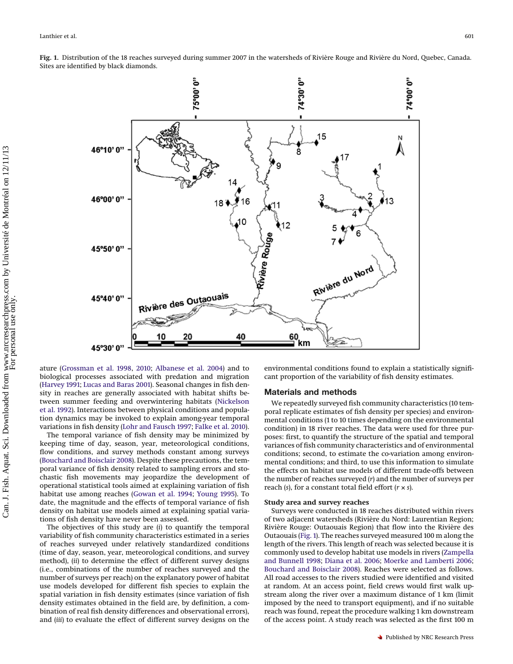<span id="page-1-0"></span>**Fig. 1.** Distribution of the 18 reaches surveyed during summer 2007 in the watersheds of Rivière Rouge and Rivière du Nord, Quebec, Canada. Sites are identified by black diamonds.



ature [\(Grossman et al. 1998,](#page-9-14) [2010;](#page-9-15) [Albanese et al. 2004\)](#page-8-7) and to biological processes associated with predation and migration [\(Harvey 1991;](#page-9-16) [Lucas and Baras 2001\)](#page-9-17). Seasonal changes in fish density in reaches are generally associated with habitat shifts between summer feeding and overwintering habitats [\(Nickelson](#page-9-18) [et al. 1992\)](#page-9-18). Interactions between physical conditions and population dynamics may be invoked to explain among-year temporal variations in fish density [\(Lohr and Fausch 1997;](#page-9-19) [Falke et al. 2010\)](#page-8-8).

The temporal variance of fish density may be minimized by keeping time of day, season, year, meteorological conditions, flow conditions, and survey methods constant among surveys [\(Bouchard and Boisclair 2008\)](#page-8-9). Despite these precautions, the temporal variance of fish density related to sampling errors and stochastic fish movements may jeopardize the development of operational statistical tools aimed at explaining variation of fish habitat use among reaches [\(Gowan et al. 1994;](#page-8-6) [Young 1995\)](#page-9-20). To date, the magnitude and the effects of temporal variance of fish density on habitat use models aimed at explaining spatial variations of fish density have never been assessed.

The objectives of this study are (*i*) to quantify the temporal variability of fish community characteristics estimated in a series of reaches surveyed under relatively standardized conditions (time of day, season, year, meteorological conditions, and survey method), (*ii*) to determine the effect of different survey designs (i.e., combinations of the number of reaches surveyed and the number of surveys per reach) on the explanatory power of habitat use models developed for different fish species to explain the spatial variation in fish density estimates (since variation of fish density estimates obtained in the field are, by definition, a combination of real fish density differences and observational errors), and (*iii*) to evaluate the effect of different survey designs on the environmental conditions found to explain a statistically significant proportion of the variability of fish density estimates.

# **Materials and methods**

We repeatedly surveyed fish community characteristics (10 temporal replicate estimates of fish density per species) and environmental conditions (1 to 10 times depending on the environmental condition) in 18 river reaches. The data were used for three purposes: first, to quantify the structure of the spatial and temporal variances of fish community characteristics and of environmental conditions; second, to estimate the co-variation among environmental conditions; and third, to use this information to simulate the effects on habitat use models of different trade-offs between the number of reaches surveyed (*r*) and the number of surveys per reach (*s*), for a constant total field effort (*r* × *s*).

### **Study area and survey reaches**

Surveys were conducted in 18 reaches distributed within rivers of two adjacent watersheds (Rivière du Nord: Laurentian Region; Rivière Rouge: Outaouais Region) that flow into the Rivière des Outaouais [\(Fig. 1\)](#page-1-0). The reaches surveyed measured 100 m along the length of the rivers. This length of reach was selected because it is commonly used to develop habitat use models in rivers [\(Zampella](#page-9-21) [and Bunnell 1998;](#page-9-21) [Diana et al. 2006;](#page-8-10) [Moerke and Lamberti 2006;](#page-9-22) [Bouchard and Boisclair 2008\)](#page-8-9). Reaches were selected as follows. All road accesses to the rivers studied were identified and visited at random. At an access point, field crews would first walk upstream along the river over a maximum distance of 1 km (limit imposed by the need to transport equipment), and if no suitable reach was found, repeat the procedure walking 1 km downstream of the access point. A study reach was selected as the first 100 m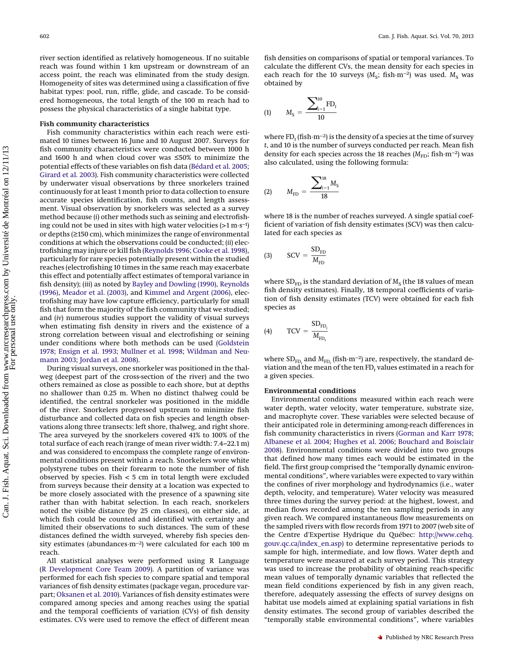river section identified as relatively homogeneous. If no suitable reach was found within 1 km upstream or downstream of an access point, the reach was eliminated from the study design. Homogeneity of sites was determined using a classification of five habitat types: pool, run, riffle, glide, and cascade. To be considered homogeneous, the total length of the 100 m reach had to possess the physical characteristics of a single habitat type.

### **Fish community characteristics**

Fish community characteristics within each reach were estimated 10 times between 16 June and 10 August 2007. Surveys for fish community characteristics were conducted between 1000 h and 1600 h and when cloud cover was ≤50% to minimize the potential effects of these variables on fish data [\(Bédard et al. 2005;](#page-8-5) [Girard et al. 2003\)](#page-8-4). Fish community characteristics were collected by underwater visual observations by three snorkelers trained continuously for at least 1 month prior to data collection to ensure accurate species identification, fish counts, and length assessment. Visual observation by snorkelers was selected as a survey method because (*i*) other methods such as seining and electrofishing could not be used in sites with high water velocities ( $>1 \text{ m}\cdot\text{s}^{-1}$ ) or depths (≥150 cm), which minimizes the range of environmental conditions at which the observations could be conducted; (*ii*) electrofishing may injure or kill fish [\(Reynolds 1996;](#page-9-23) [Cooke et al. 1998\)](#page-8-11), particularly for rare species potentially present within the studied reaches (electrofishing 10 times in the same reach may exacerbate this effect and potentially affect estimates of temporal variance in fish density); (*iii*) as noted by [Bayley and Dowling \(1990\),](#page-8-12) [Reynolds](#page-9-23) [\(1996\),](#page-9-23) [Meador et al. \(2003\),](#page-9-24) and [Kimmel and Argent \(2006\),](#page-9-25) electrofishing may have low capture efficiency, particularly for small fish that form the majority of the fish community that we studied; and (*iv*) numerous studies support the validity of visual surveys when estimating fish density in rivers and the existence of a strong correlation between visual and electrofishing or seining under conditions where both methods can be used [\(Goldstein](#page-8-13) [1978;](#page-8-13) [Ensign et al. 1993;](#page-8-8) [Mullner et al. 1998;](#page-9-26) [Wildman and Neu](#page-9-27)[mann 2003;](#page-9-27) [Jordan et al. 2008\)](#page-9-28).

During visual surveys, one snorkeler was positioned in the thalweg (deepest part of the cross-section of the river) and the two others remained as close as possible to each shore, but at depths no shallower than 0.25 m. When no distinct thalweg could be identified, the central snorkeler was positioned in the middle of the river. Snorkelers progressed upstream to minimize fish disturbance and collected data on fish species and length observations along three transects: left shore, thalweg, and right shore. The area surveyed by the snorkelers covered 41% to 100% of the total surface of each reach (range of mean river width: 7.4–22.1 m) and was considered to encompass the complete range of environmental conditions present within a reach. Snorkelers wore white polystyrene tubes on their forearm to note the number of fish observed by species. Fish < 5 cm in total length were excluded from surveys because their density at a location was expected to be more closely associated with the presence of a spawning site rather than with habitat selection. In each reach, snorkelers noted the visible distance (by 25 cm classes), on either side, at which fish could be counted and identified with certainty and limited their observations to such distances. The sum of these distances defined the width surveyed, whereby fish species density estimates (abundances·m−2) were calculated for each 100 m reach.

All statistical analyses were performed using R Language [\(R Development Core Team 2009\)](#page-9-29). A partition of variance was performed for each fish species to compare spatial and temporal variances of fish density estimates (package vegan, procedure varpart; [Oksanen et al. 2010\)](#page-9-30). Variances of fish density estimates were compared among species and among reaches using the spatial and the temporal coefficients of variation (CVs) of fish density estimates. CVs were used to remove the effect of different mean fish densities on comparisons of spatial or temporal variances. To calculate the different CVs, the mean density for each species in each reach for the 10 surveys (*M*<sub>S</sub>; fish·m<sup>−2</sup>) was used. *M*<sub>S</sub> was obtained by

(1) 
$$
M_{S} = \frac{\sum_{i=1}^{10} \text{FD}_{t}}{10}
$$

where FD<sub>t</sub> (fish·m<sup>-2</sup>) is the density of a species at the time of survey *t*, and 10 is the number of surveys conducted per reach. Mean fish density for each species across the 18 reaches ( $M_{FD}$ ; fish·m<sup>−2</sup>) was also calculated, using the following formula:

(2) 
$$
M_{\text{FD}} = \frac{\sum_{i=1}^{18} M_{\text{S}}}{18}
$$

where 18 is the number of reaches surveyed. A single spatial coefficient of variation of fish density estimates (SCV) was then calculated for each species as

$$
\text{(3)} \qquad \text{SCV} = \frac{\text{SD}_{\text{FD}}}{M_{\text{FD}}}
$$

where  $SD<sub>FD</sub>$  is the standard deviation of  $M<sub>S</sub>$  (the 18 values of mean fish density estimates). Finally, 18 temporal coefficients of variation of fish density estimates (TCV) were obtained for each fish species as

$$
(4) \qquad \text{TCV} = \frac{\text{SD}_{\text{FD}_{t}}}{M_{\text{FD}_{t}}}
$$

where  $SD_{FD_t}$  and  $M_{FD_t}$  (fish m<sup>-2</sup>) are, respectively, the standard deviation and the mean of the ten  $FD<sub>t</sub>$  values estimated in a reach for a given species.

## **Environmental conditions**

Environmental conditions measured within each reach were water depth, water velocity, water temperature, substrate size, and macrophyte cover. These variables were selected because of their anticipated role in determining among-reach differences in fish community characteristics in rivers [\(Gorman and Karr 1978;](#page-8-14) [Albanese et al. 2004;](#page-8-7) [Hughes et al. 2006;](#page-9-7) [Bouchard and Boisclair](#page-8-9) [2008\)](#page-8-9). Environmental conditions were divided into two groups that defined how many times each would be estimated in the field. The first group comprised the "temporally dynamic environmental conditions", where variables were expected to vary within the confines of river morphology and hydrodynamics (i.e., water depth, velocity, and temperature). Water velocity was measured three times during the survey period: at the highest, lowest, and median flows recorded among the ten sampling periods in any given reach. We compared instantaneous flow measurements on the sampled rivers with flow records from 1971 to 2007 (web site of the Centre d'Expertise Hydrique du Québec: [http://www.cehq.](http://www.cehq.gouv.qc.ca/index_en.asp) [gouv.qc.ca/index\\_en.asp\)](http://www.cehq.gouv.qc.ca/index_en.asp) to determine representative periods to sample for high, intermediate, and low flows. Water depth and temperature were measured at each survey period. This strategy was used to increase the probability of obtaining reach-specific mean values of temporally dynamic variables that reflected the mean field conditions experienced by fish in any given reach, therefore, adequately assessing the effects of survey designs on habitat use models aimed at explaining spatial variations in fish density estimates. The second group of variables described the "temporally stable environmental conditions", where variables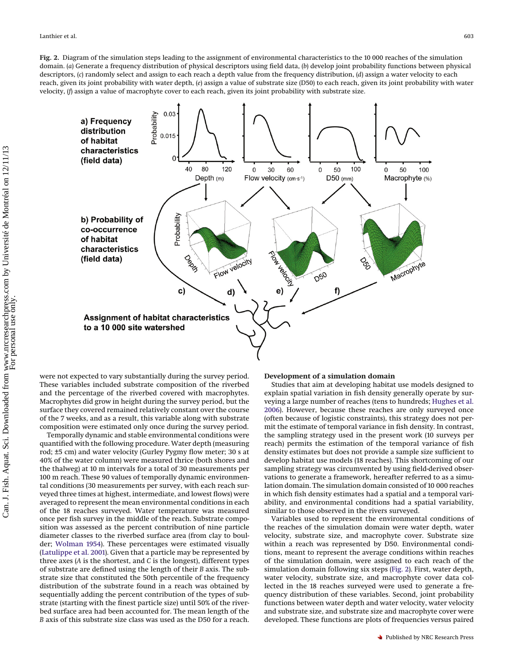<span id="page-3-0"></span>domain. (*a*) Generate a frequency distribution of physical descriptors using field data, (*b*) develop joint probability functions between physical descriptors, (*c*) randomly select and assign to each reach a depth value from the frequency distribution, (*d*) assign a water velocity to each reach, given its joint probability with water depth, (*e*) assign a value of substrate size (D50) to each reach, given its joint probability with water velocity, (*f*) assign a value of macrophyte cover to each reach, given its joint probability with substrate size.



were not expected to vary substantially during the survey period. These variables included substrate composition of the riverbed and the percentage of the riverbed covered with macrophytes. Macrophytes did grow in height during the survey period, but the surface they covered remained relatively constant over the course of the 7 weeks, and as a result, this variable along with substrate composition were estimated only once during the survey period.

Temporally dynamic and stable environmental conditions were quantified with the following procedure. Water depth (measuring rod; ±5 cm) and water velocity (Gurley Pygmy flow meter; 30 s at 40% of the water column) were measured thrice (both shores and the thalweg) at 10 m intervals for a total of 30 measurements per 100 m reach. These 90 values of temporally dynamic environmental conditions (30 measurements per survey, with each reach surveyed three times at highest, intermediate, and lowest flows) were averaged to represent the mean environmental conditions in each of the 18 reaches surveyed. Water temperature was measured once per fish survey in the middle of the reach. Substrate composition was assessed as the percent contribution of nine particle diameter classes to the riverbed surface area (from clay to boulder; [Wolman 1954\)](#page-9-31). These percentages were estimated visually [\(Latulippe et al. 2001\)](#page-9-32). Given that a particle may be represented by three axes (*A* is the shortest, and *C* is the longest), different types of substrate are defined using the length of their *B* axis. The substrate size that constituted the 50th percentile of the frequency distribution of the substrate found in a reach was obtained by sequentially adding the percent contribution of the types of substrate (starting with the finest particle size) until 50% of the riverbed surface area had been accounted for. The mean length of the *B* axis of this substrate size class was used as the D50 for a reach.

## **Development of a simulation domain**

Studies that aim at developing habitat use models designed to explain spatial variation in fish density generally operate by surveying a large number of reaches (tens to hundreds; [Hughes et al.](#page-9-7) [2006\)](#page-9-7). However, because these reaches are only surveyed once (often because of logistic constraints), this strategy does not permit the estimate of temporal variance in fish density. In contrast, the sampling strategy used in the present work (10 surveys per reach) permits the estimation of the temporal variance of fish density estimates but does not provide a sample size sufficient to develop habitat use models (18 reaches). This shortcoming of our sampling strategy was circumvented by using field-derived observations to generate a framework, hereafter referred to as a simulation domain. The simulation domain consisted of 10 000 reaches in which fish density estimates had a spatial and a temporal variability, and environmental conditions had a spatial variability, similar to those observed in the rivers surveyed.

Variables used to represent the environmental conditions of the reaches of the simulation domain were water depth, water velocity, substrate size, and macrophyte cover. Substrate size within a reach was represented by D50. Environmental conditions, meant to represent the average conditions within reaches of the simulation domain, were assigned to each reach of the simulation domain following six steps [\(Fig. 2\)](#page-3-0). First, water depth, water velocity, substrate size, and macrophyte cover data collected in the 18 reaches surveyed were used to generate a frequency distribution of these variables. Second, joint probability functions between water depth and water velocity, water velocity and substrate size, and substrate size and macrophyte cover were developed. These functions are plots of frequencies versus paired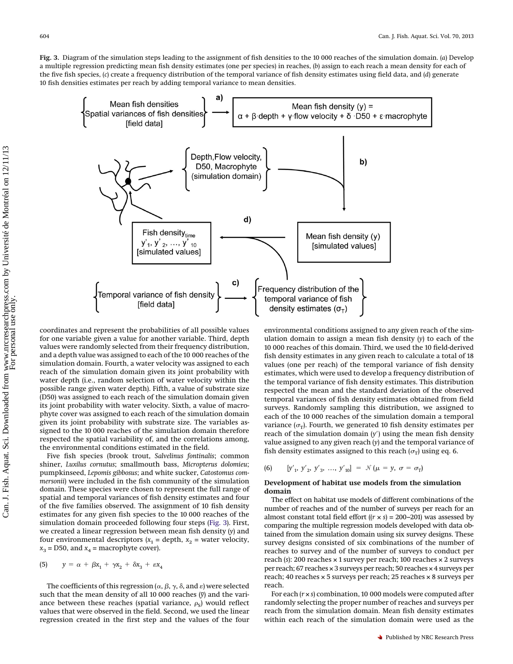<span id="page-4-0"></span>**Fig. 3.** Diagram of the simulation steps leading to the assignment of fish densities to the 10 000 reaches of the simulation domain. (*a*) Develop a multiple regression predicting mean fish density estimates (one per species) in reaches, (*b*) assign to each reach a mean density for each of the five fish species, (*c*) create a frequency distribution of the temporal variance of fish density estimates using field data, and (*d*) generate 10 fish densities estimates per reach by adding temporal variance to mean densities.



coordinates and represent the probabilities of all possible values for one variable given a value for another variable. Third, depth values were randomly selected from their frequency distribution, and a depth value was assigned to each of the 10 000 reaches of the simulation domain. Fourth, a water velocity was assigned to each reach of the simulation domain given its joint probability with water depth (i.e., random selection of water velocity within the possible range given water depth). Fifth, a value of substrate size (D50) was assigned to each reach of the simulation domain given its joint probability with water velocity. Sixth, a value of macrophyte cover was assigned to each reach of the simulation domain given its joint probability with substrate size. The variables assigned to the 10 000 reaches of the simulation domain therefore respected the spatial variability of, and the correlations among, the environmental conditions estimated in the field.

Five fish species (brook trout, *Salvelinus fontinalis*; common shiner, *Luxilus cornutus*; smallmouth bass, *Micropterus dolomieu*; pumpkinseed, *Lepomis gibbosus*; and white sucker, *Catostomus commersonii*) were included in the fish community of the simulation domain. These species were chosen to represent the full range of spatial and temporal variances of fish density estimates and four of the five families observed. The assignment of 10 fish density estimates for any given fish species to the 10 000 reaches of the simulation domain proceeded following four steps [\(Fig. 3\)](#page-4-0). First, we created a linear regression between mean fish density (*y*) and four environmental descriptors ( $x_1$  = depth,  $x_2$  = water velocity,  $x_3$  = D50, and  $x_4$  = macrophyte cover).

$$
(5) \qquad y = \alpha + \beta x_1 + \gamma x_2 + \delta x_3 + \varepsilon x_4
$$

The coefficients of this regression ( $\alpha$ ,  $\beta$ ,  $\gamma$ ,  $\delta$ , and  $\varepsilon$ ) were selected such that the mean density of all 10 000 reaches  $(\bar{y})$  and the variance between these reaches (spatial variance,  $\rho_s$ ) would reflect values that were observed in the field. Second, we used the linear regression created in the first step and the values of the four

environmental conditions assigned to any given reach of the simulation domain to assign a mean fish density (*y*) to each of the 10 000 reaches of this domain. Third, we used the 10 field-derived fish density estimates in any given reach to calculate a total of 18 values (one per reach) of the temporal variance of fish density estimates, which were used to develop a frequency distribution of the temporal variance of fish density estimates. This distribution respected the mean and the standard deviation of the observed temporal variances of fish density estimates obtained from field surveys. Randomly sampling this distribution, we assigned to each of the 10 000 reaches of the simulation domain a temporal variance  $(\sigma_T)$ . Fourth, we generated 10 fish density estimates per reach of the simulation domain  $(y')$  using the mean fish density value assigned to any given reach (*y*) and the temporal variance of fish density estimates assigned to this reach  $(\sigma_T)$  using eq. 6.

(6) 
$$
[y'_1, y'_2, y'_3, ..., y'_{10}] = \mathcal{N}(\mu = y, \sigma = \sigma_T)
$$

# **Development of habitat use models from the simulation domain**

The effect on habitat use models of different combinations of the number of reaches and of the number of surveys per reach for an almost constant total field effort  $((r \times s) = 200-201)$  was assessed by comparing the multiple regression models developed with data obtained from the simulation domain using six survey designs. These survey designs consisted of six combinations of the number of reaches to survey and of the number of surveys to conduct per reach (*s*): 200 reaches × 1 survey per reach; 100 reaches × 2 surveys per reach; 67 reaches × 3 surveys per reach; 50 reaches × 4 surveys per reach; 40 reaches × 5 surveys per reach; 25 reaches × 8 surveys per reach.

For each (*r* × *s*) combination, 10 000 models were computed after randomly selecting the proper number of reaches and surveys per reach from the simulation domain. Mean fish density estimates within each reach of the simulation domain were used as the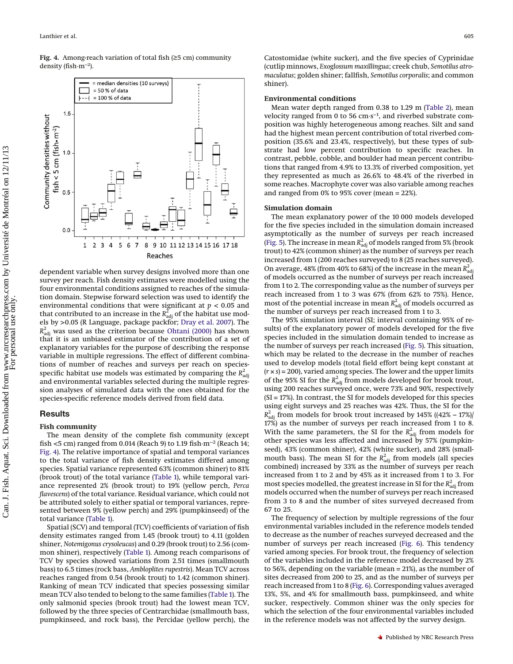<span id="page-5-0"></span>**Fig. 4.** Among-reach variation of total fish (≥5 cm) community density (fish·m−2).



# **Results**

#### **Fish community**

The mean density of the complete fish community (except fish <5 cm) ranged from 0.014 (Reach 9) to 1.19 fish·m−2 (Reach 14; [Fig. 4\)](#page-5-0). The relative importance of spatial and temporal variances to the total variance of fish density estimates differed among species. Spatial variance represented 63% (common shiner) to 81% (brook trout) of the total variance [\(Table 1\)](#page-6-0), while temporal variance represented 2% (brook trout) to 19% (yellow perch, *Perca flavescens*) of the total variance. Residual variance, which could not be attributed solely to either spatial or temporal variances, represented between 9% (yellow perch) and 29% (pumpkinseed) of the total variance [\(Table 1\)](#page-6-0).

Spatial (SCV) and temporal (TCV) coefficients of variation of fish density estimates ranged from 1.45 (brook trout) to 4.11 (golden shiner, *Notemigonus crysoleucas*) and 0.29 (brook trout) to 2.56 (common shiner), respectively [\(Table 1\)](#page-6-0). Among reach comparisons of TCV by species showed variations from 2.51 times (smallmouth bass) to 6.5 times (rock bass, *Ambloplites rupestris*). Mean TCV across reaches ranged from 0.54 (brook trout) to 1.42 (common shiner). Ranking of mean TCV indicated that species possessing similar mean TCV also tended to belong to the same families [\(Table 1\)](#page-6-0). The only salmonid species (brook trout) had the lowest mean TCV, followed by the three species of Centrarchidae (smallmouth bass, pumpkinseed, and rock bass), the Percidae (yellow perch), the

Catostomidae (white sucker), and the five species of Cyprinidae (cutlip minnows, *Exoglossum maxillingua*; creek chub, *Semotilus atromaculatus*; golden shiner; fallfish, *Semotilus corporalis*; and common shiner).

#### **Environmental conditions**

Mean water depth ranged from 0.38 to 1.29 m [\(Table 2\)](#page-6-1), mean velocity ranged from 0 to 56 cm·s−1, and riverbed substrate composition was highly heterogeneous among reaches. Silt and sand had the highest mean percent contribution of total riverbed composition (35.6% and 23.4%, respectively), but these types of substrate had low percent contribution to specific reaches. In contrast, pebble, cobble, and boulder had mean percent contributions that ranged from 4.9% to 13.3% of riverbed composition, yet they represented as much as 26.6% to 48.4% of the riverbed in some reaches. Macrophyte cover was also variable among reaches and ranged from 0% to 95% cover (mean = 22%).

#### **Simulation domain**

The mean explanatory power of the 10 000 models developed for the five species included in the simulation domain increased asymptotically as the number of surveys per reach increased [\(Fig. 5\)](#page-6-2). The increase in mean  $R_{\rm adj}^2$  of models ranged from 5% (brook trout) to 42% (common shiner) as the number of surveys per reach increased from 1 (200 reaches surveyed) to 8 (25 reaches surveyed). On average, 48% (from 40% to 68%) of the increase in the mean  $R_{\rm adj}^2$ of models occurred as the number of surveys per reach increased from 1 to 2. The corresponding value as the number of surveys per reach increased from 1 to 3 was 67% (from 62% to 75%). Hence, most of the potential increase in mean  $R_{\rm adj}^2$  of models occurred as the number of surveys per reach increased from 1 to 3.

The 95% simulation interval (SI; interval containing 95% of results) of the explanatory power of models developed for the five species included in the simulation domain tended to increase as the number of surveys per reach increased [\(Fig. 5\)](#page-6-2). This situation, which may be related to the decrease in the number of reaches used to develop models (total field effort being kept constant at (*r* × *s*) = 200), varied among species. The lower and the upper limits of the 95% SI for the  $R_{\rm adj}^2$  from models developed for brook trout, using 200 reaches surveyed once, were 73% and 90%, respectively (SI = 17%). In contrast, the SI for models developed for this species using eight surveys and 25 reaches was 42%. Thus, the SI for the  $R_{\text{adj}}^2$  from models for brook trout increased by 145% ((42% – 17%)/ 17%) as the number of surveys per reach increased from 1 to 8. With the same parameters, the SI for the  $R_{\text{adj}}^2$  from models for other species was less affected and increased by 57% (pumpkinseed), 43% (common shiner), 42% (white sucker), and 28% (smallmouth bass). The mean SI for the  $R_{\text{adj}}^2$  from models (all species combined) increased by 33% as the number of surveys per reach increased from 1 to 2 and by 45% as it increased from 1 to 3. For most species modelled, the greatest increase in SI for the  $R_{\rm adj}^2$  from models occurred when the number of surveys per reach increased from 3 to 8 and the number of sites surveyed decreased from 67 to 25.

The frequency of selection by multiple regressions of the four environmental variables included in the reference models tended to decrease as the number of reaches surveyed decreased and the number of surveys per reach increased [\(Fig. 6\)](#page-7-0). This tendency varied among species. For brook trout, the frequency of selection of the variables included in the reference model decreased by 2% to 56%, depending on the variable (mean = 21%), as the number of sites decreased from 200 to 25, and as the number of surveys per reach increased from 1 to 8 [\(Fig. 6\)](#page-7-0). Corresponding values averaged 13%, 5%, and 4% for smallmouth bass, pumpkinseed, and white sucker, respectively. Common shiner was the only species for which the selection of the four environmental variables included in the reference models was not affected by the survey design.

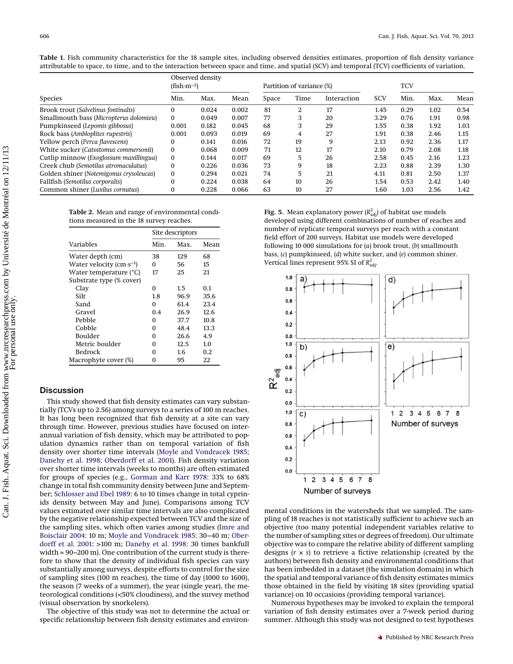|                                            | Observed density<br>$(fish·m-2)$ |       |       | Partition of variance (%) |      |             | TCV        |      |      |      |
|--------------------------------------------|----------------------------------|-------|-------|---------------------------|------|-------------|------------|------|------|------|
| <b>Species</b>                             | Min.                             | Max.  | Mean  | Space                     | Time | Interaction | <b>SCV</b> | Min. | Max. | Mean |
| <b>Brook trout (Salvelinus fontinalis)</b> | $\bf{0}$                         | 0.024 | 0.002 | 81                        | 2    | 17          | 1.45       | 0.29 | 1.02 | 0.54 |
| Smallmouth bass (Micropterus dolomieu)     | $\Omega$                         | 0.049 | 0.007 | 77                        | 3    | 20          | 3.29       | 0.76 | 1.91 | 0.98 |
| Pumpkinseed (Lepomis gibbosus)             | 0.001                            | 0.182 | 0.045 | 68                        | 3    | 29          | 1.55       | 0.38 | 1.92 | 1.03 |
| Rock bass (Ambloplites rupestris)          | 0.001                            | 0.093 | 0.019 | 69                        | 4    | 27          | 1.91       | 0.38 | 2.46 | 1.15 |
| Yellow perch (Perca flavescens)            | $\Omega$                         | 0.141 | 0.016 | 72                        | 19   | 9           | 2.13       | 0.92 | 2.36 | 1.17 |
| White sucker (Catostomus commersonii)      | $\Omega$                         | 0.068 | 0.009 | 71                        | 12   | 17          | 2.10       | 0.79 | 2.08 | 1.18 |
| Cutlip minnow (Exoglossum maxillingua)     | $\bf{0}$                         | 0.144 | 0.017 | 69                        | 5    | 26          | 2.58       | 0.45 | 2.16 | 1.23 |
| Creek chub (Semotilus atromaculatus)       | $\Omega$                         | 0.226 | 0.036 | 73                        | 9    | 18          | 2.23       | 0.88 | 2.39 | 1.30 |
| Golden shiner (Notemigonus crysoleucas)    | $\bf{0}$                         | 0.294 | 0.021 | 74                        | 5    | 21          | 4.11       | 0.81 | 2.50 | 1.37 |
| Fallfish (Semotilus corporalis)            | $\Omega$                         | 0.224 | 0.038 | 64                        | 10   | 26          | 1.54       | 0.53 | 2.42 | 1.40 |
| Common shiner (Luxilus cornutus)           | $\Omega$                         | 0.228 | 0.066 | 63                        | 10   | 27          | 1.60       | 1.03 | 2.56 | 1.42 |

<span id="page-6-0"></span>**Table 1.** Fish community characteristics for the 18 sample sites, including observed densities estimates, proportion of fish density variance attributable to space, to time, and to the interaction between space and time, and spatial (SCV) and temporal (TCV) coefficients of variation.

<span id="page-6-1"></span>**Table 2.** Mean and range of environmental conditions measured in the 18 survey reaches.

|                                             | Site descriptors |      |      |  |  |  |
|---------------------------------------------|------------------|------|------|--|--|--|
| Variables                                   | Min.             | Max. | Mean |  |  |  |
| Water depth (cm)                            | 38               | 129  | 68   |  |  |  |
| Water velocity $\rm (cm\text{-}s\text{-}1)$ | 0                | 56   | 15   |  |  |  |
| Water temperature (°C)                      | 17               | 25   | 21   |  |  |  |
| Substrate type (% cover)                    |                  |      |      |  |  |  |
| Clay                                        | 0                | 1.5  | 0.1  |  |  |  |
| Silt                                        | 1.8              | 96.9 | 35.6 |  |  |  |
| Sand                                        | 0                | 61.4 | 23.4 |  |  |  |
| Gravel                                      | 0.4              | 26.9 | 12.6 |  |  |  |
| Pebble                                      | 0                | 37.7 | 10.8 |  |  |  |
| Cobble                                      | 0                | 48.4 | 13.3 |  |  |  |
| Boulder                                     | 0                | 26.6 | 4.9  |  |  |  |
| Metric boulder                              | 0                | 12.5 | 1.0  |  |  |  |
| <b>Bedrock</b>                              | 0                | 1.6  | 0.2  |  |  |  |
| Macrophyte cover (%)                        | 0                | 95   | 22   |  |  |  |

### **Discussion**

This study showed that fish density estimates can vary substantially (TCVs up to 2.56) among surveys to a series of 100 m reaches. It has long been recognized that fish density at a site can vary through time. However, previous studies have focused on interannual variation of fish density, which may be attributed to population dynamics rather than on temporal variation of fish density over shorter time intervals [\(Moyle and Vondracek 1985;](#page-9-34) [Danehy et al. 1998;](#page-8-16) [Oberdorff et al. 2001\)](#page-8-7). Fish density variation over shorter time intervals (weeks to months) are often estimated for groups of species (e.g., [Gorman and Karr 1978:](#page-8-14) 33% to 68% change in total fish community density between June and September; [Schlosser and Ebel 1989:](#page-9-35) 6 to 10 times change in total cyprinids density between May and June). Comparisons among TCV values estimated over similar time intervals are also complicated by the negative relationship expected between TCV and the size of the sampling sites, which often varies among studies [\(Imre and](#page-9-36) [Boisclair 2004:](#page-9-36) 10 m; [Moyle and Vondracek 1985:](#page-9-34) 30–40 m; [Ober](#page-8-7)[dorff et al. 2001:](#page-8-7) >100 m; [Danehy et al. 1998:](#page-8-16) 30 times bankfull width ≈ 90–200 m). One contribution of the current study is therefore to show that the density of individual fish species can vary substantially among surveys, despite efforts to control for the size of sampling sites (100 m reaches), the time of day (1000 to 1600), the season (7 weeks of a summer), the year (single year), the meteorological conditions (<50% cloudiness), and the survey method (visual observation by snorkelers).

The objective of this study was not to determine the actual or specific relationship between fish density estimates and environ-

<span id="page-6-2"></span>**Fig. 5.** Mean explanatory power  $(R^2_{\mathrm{adj}})$  of habitat use models developed using different combinations of number of reaches and number of replicate temporal surveys per reach with a constant field effort of 200 surveys. Habitat use models were developed following 10 000 simulations for (*a*) brook trout, (*b*) smallmouth bass, (*c*) pumpkinseed, (*d*) white sucker, and (*e*) common shiner. Vertical lines represent 95% SI of  $R^2_{\rm adj}$ .



mental conditions in the watersheds that we sampled. The sampling of 18 reaches is not statistically sufficient to achieve such an objective (too many potential independent variables relative to the number of sampling sites or degrees of freedom). Our ultimate objective was to compare the relative ability of different sampling designs (*r* × *s*) to retrieve a fictive relationship (created by the authors) between fish density and environmental conditions that has been imbedded in a dataset (the simulation domain) in which the spatial and temporal variance of fish density estimates mimics those obtained in the field by visiting 18 sites (providing spatial variance) on 10 occasions (providing temporal variance).

Numerous hypotheses may be invoked to explain the temporal variation of fish density estimates over a 7-week period during summer. Although this study was not designed to test hypotheses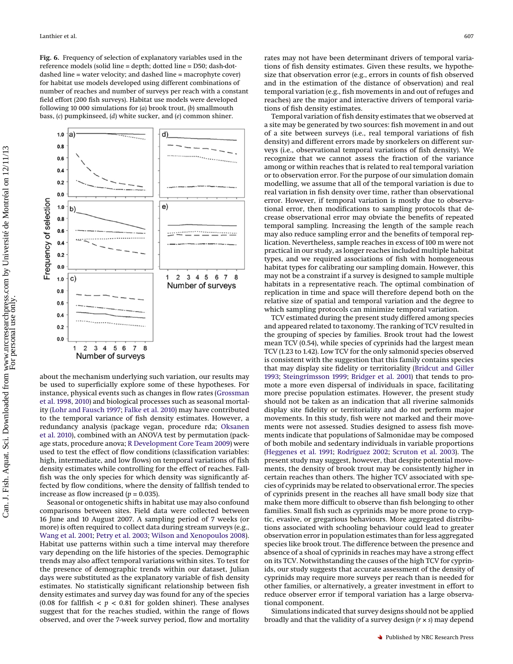<span id="page-7-0"></span>**Fig. 6.** Frequency of selection of explanatory variables used in the reference models (solid line = depth; dotted line = D50; dash-dotdashed line = water velocity; and dashed line = macrophyte cover) for habitat use models developed using different combinations of number of reaches and number of surveys per reach with a constant field effort (200 fish surveys). Habitat use models were developed following 10 000 simulations for (*a*) brook trout, (*b*) smallmouth bass, (*c*) pumpkinseed, (*d*) white sucker, and (*e*) common shiner.



about the mechanism underlying such variation, our results may be used to superficially explore some of these hypotheses. For instance, physical events such as changes in flow rates [\(Grossman](#page-9-14) [et al. 1998,](#page-9-14) [2010\)](#page-9-15) and biological processes such as seasonal mortality [\(Lohr and Fausch 1997;](#page-9-19) [Falke et al. 2010\)](#page-8-8) may have contributed to the temporal variance of fish density estimates. However, a redundancy analysis (package vegan, procedure rda; [Oksanen](#page-9-30) [et al. 2010\)](#page-9-30), combined with an ANOVA test by permutation (package stats, procedure anova; [R Development Core Team 2009\)](#page-9-29) were used to test the effect of flow conditions (classification variables: high, intermediate, and low flows) on temporal variations of fish density estimates while controlling for the effect of reaches. Fallfish was the only species for which density was significantly affected by flow conditions, where the density of fallfish tended to increase as flow increased  $(p = 0.035)$ .

Seasonal or ontogenetic shifts in habitat use may also confound comparisons between sites. Field data were collected between 16 June and 10 August 2007. A sampling period of 7 weeks (or more) is often required to collect data during stream surveys (e.g., [Wang et al. 2001;](#page-9-37) [Petry et al. 2003;](#page-9-38) [Wilson and Xenopoulos 2008\)](#page-9-39). Habitat use patterns within such a time interval may therefore vary depending on the life histories of the species. Demographic trends may also affect temporal variations within sites. To test for the presence of demographic trends within our dataset, Julian days were substituted as the explanatory variable of fish density estimates. No statistically significant relationship between fish density estimates and survey day was found for any of the species (0.08 for fallfish  $< p < 0.81$  for golden shiner). These analyses suggest that for the reaches studied, within the range of flows observed, and over the 7-week survey period, flow and mortality rates may not have been determinant drivers of temporal variations of fish density estimates. Given these results, we hypothesize that observation error (e.g., errors in counts of fish observed and in the estimation of the distance of observation) and real temporal variation (e.g., fish movements in and out of refuges and reaches) are the major and interactive drivers of temporal variations of fish density estimates.

Temporal variation of fish density estimates that we observed at a site may be generated by two sources: fish movement in and out of a site between surveys (i.e., real temporal variations of fish density) and different errors made by snorkelers on different surveys (i.e., observational temporal variations of fish density). We recognize that we cannot assess the fraction of the variance among or within reaches that is related to real temporal variation or to observation error. For the purpose of our simulation domain modelling, we assume that all of the temporal variation is due to real variation in fish density over time, rather than observational error. However, if temporal variation is mostly due to observational error, then modifications to sampling protocols that decrease observational error may obviate the benefits of repeated temporal sampling. Increasing the length of the sample reach may also reduce sampling error and the benefits of temporal replication. Nevertheless, sample reaches in excess of 100 m were not practical in our study, as longer reaches included multiple habitat types, and we required associations of fish with homogeneous habitat types for calibrating our sampling domain. However, this may not be a constraint if a survey is designed to sample multiple habitats in a representative reach. The optimal combination of replication in time and space will therefore depend both on the relative size of spatial and temporal variation and the degree to which sampling protocols can minimize temporal variation.

TCV estimated during the present study differed among species and appeared related to taxonomy. The ranking of TCV resulted in the grouping of species by families. Brook trout had the lowest mean TCV (0.54), while species of cyprinids had the largest mean TCV (1.23 to 1.42). Low TCV for the only salmonid species observed is consistent with the suggestion that this family contains species that may display site fidelity or territoriality [\(Bridcut and Giller](#page-8-17) [1993;](#page-8-17) [Steingrímsson 1999;](#page-9-40) [Bridger et al. 2001\)](#page-8-18) that tends to promote a more even dispersal of individuals in space, facilitating more precise population estimates. However, the present study should not be taken as an indication that all riverine salmonids display site fidelity or territoriality and do not perform major movements. In this study, fish were not marked and their movements were not assessed. Studies designed to assess fish movements indicate that populations of Salmonidae may be composed of both mobile and sedentary individuals in variable proportions [\(Heggenes et al. 1991;](#page-9-41) [Rodríguez 2002;](#page-9-42) [Scruton et al. 2003\)](#page-9-43). The present study may suggest, however, that despite potential movements, the density of brook trout may be consistently higher in certain reaches than others. The higher TCV associated with species of cyprinids may be related to observational error. The species of cyprinids present in the reaches all have small body size that make them more difficult to observe than fish belonging to other families. Small fish such as cyprinids may be more prone to cryptic, evasive, or gregarious behaviours. More aggregated distributions associated with schooling behaviour could lead to greater observation error in population estimates than for less aggregated species like brook trout. The difference between the presence and absence of a shoal of cyprinids in reaches may have a strong effect on its TCV. Notwithstanding the causes of the high TCV for cyprinids, our study suggests that accurate assessment of the density of cyprinids may require more surveys per reach than is needed for other families, or alternatively, a greater investment in effort to reduce observer error if temporal variation has a large observational component.

Simulations indicated that survey designs should not be applied broadly and that the validity of a survey design (*r* × *s*) may depend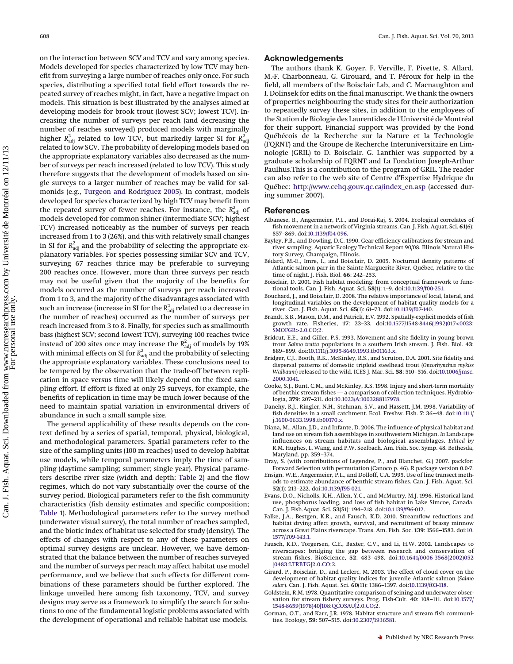<span id="page-8-6"></span>on the interaction between SCV and TCV and vary among species. Models developed for species characterized by low TCV may benefit from surveying a large number of reaches only once. For such species, distributing a specified total field effort towards the repeated survey of reaches might, in fact, have a negative impact on models. This situation is best illustrated by the analyses aimed at developing models for brook trout (lowest SCV; lowest TCV). Increasing the number of surveys per reach (and decreasing the number of reaches surveyed) produced models with marginally higher  $R_{\text{adj}}^2$  related to low TCV, but markedly larger SI for  $R_{\text{adj}}^2$ related to low SCV. The probability of developing models based on the appropriate explanatory variables also decreased as the number of surveys per reach increased (related to low TCV). This study therefore suggests that the development of models based on single surveys to a larger number of reaches may be valid for salmonids (e.g., [Turgeon and Rodriguez 2005\)](#page-9-5). In contrast, models developed for species characterized by high TCV may benefit from the repeated survey of fewer reaches. For instance, the  $R_{\text{adj}}^2$  of models developed for common shiner (intermediate SCV; highest TCV) increased noticeably as the number of surveys per reach increased from 1 to 3 (26%), and this with relatively small changes in SI for  $R_{\rm adj}^2$  and the probability of selecting the appropriate explanatory variables. For species possessing similar SCV and TCV, surveying 67 reaches thrice may be preferable to surveying 200 reaches once. However, more than three surveys per reach may not be useful given that the majority of the benefits for models occurred as the number of surveys per reach increased from 1 to 3, and the majority of the disadvantages associated with such an increase (increase in SI for the  $R_{\rm adj}^2$  related to a decrease in the number of reaches) occurred as the number of surveys per reach increased from 3 to 8. Finally, for species such as smallmouth bass (highest SCV; second lowest TCV), surveying 100 reaches twice instead of 200 sites once may increase the  $R_{\rm adj}^2$  of models by 19% with minimal effects on SI for  $R_{\rm adj}^2$  and the probability of selecting the appropriate explanatory variables. These conclusions need to be tempered by the observation that the trade-off between replication in space versus time will likely depend on the fixed sampling effort. If effort is fixed at only 25 surveys, for example, the benefits of replication in time may be much lower because of the need to maintain spatial variation in environmental drivers of abundance in such a small sample size.

The general applicability of these results depends on the context defined by a series of spatial, temporal, physical, biological, and methodological parameters. Spatial parameters refer to the size of the sampling units (100 m reaches) used to develop habitat use models, while temporal parameters imply the time of sampling (daytime sampling; summer; single year). Physical parameters describe river size (width and depth; [Table 2\)](#page-6-1) and the flow regimes, which do not vary substantially over the course of the survey period. Biological parameters refer to the fish community characteristics (fish density estimates and specific composition; [Table 1\)](#page-6-0). Methodological parameters refer to the survey method (underwater visual survey), the total number of reaches sampled, and the biotic index of habitat use selected for study (density). The effects of changes with respect to any of these parameters on optimal survey designs are unclear. However, we have demonstrated that the balance between the number of reaches surveyed and the number of surveys per reach may affect habitat use model performance, and we believe that such effects for different combinations of these parameters should be further explored. The linkage unveiled here among fish taxonomy, TCV, and survey designs may serve as a framework to simplify the search for solutions to one of the fundamental logistic problems associated with the development of operational and reliable habitat use models.

# **Acknowledgements**

The authors thank K. Goyer, F. Verville, F. Pivette, S. Allard, M.-F. Charbonneau, G. Girouard, and T. Péroux for help in the field, all members of the Boisclair Lab, and C. Macnaughton and I. Dolinsek for edits on the final manuscript. We thank the owners of properties neighbouring the study sites for their authorization to repeatedly survey these sites, in addition to the employees of the Station de Biologie des Laurentides de l'Université de Montréal for their support. Financial support was provided by the Fond Québécois de la Recherche sur la Nature et la Technologie (FQRNT) and the Groupe de Recherche Interuniversitaire en Limnologie (GRIL) to D. Boisclair. G. Lanthier was supported by a graduate scholarship of FQRNT and La Fondation Joseph-Arthur Paulhus.This is a contribution to the program of GRIL. The reader can also refer to the web site of Centre d'Expertise Hydrique du Québec: [http://www.cehq.gouv.qc.ca/index\\_en.asp](http://www.cehq.gouv.qc.ca/index_en.asp) (accessed during summer 2007).

#### **References**

- <span id="page-8-7"></span>Albanese, B., Angermeier, P.L., and Dorai-Raj, S. 2004. Ecological correlates of fish movement in a network of Virginia streams. Can. J. Fish. Aquat. Sci. **61**(6): 857–869. doi[:10.1139/f04-096.](http://dx.doi.org/10.1139/f04-096)
- <span id="page-8-12"></span>Bayley, P.B., and Dowling, D.C. 1990. Gear efficiency calibrations for stream and river sampling. Aquatic Ecology Technical Report 90/08. Illinois Natural History Survey, Champaign, Illinois.
- <span id="page-8-5"></span>Bédard, M.-E., Imre, I., and Boisclair, D. 2005. Nocturnal density patterns of Atlantic salmon parr in the Sainte-Marguerite River, Québec, relative to the time of night. J. Fish. Biol. **66**: 242–253.
- <span id="page-8-2"></span>Boisclair, D. 2001. Fish habitat modeling: from conceptual framework to functional tools. Can. J. Fish. Aquat. Sci. **58**(1): 1–9. doi[:10.1139/f00-251.](http://dx.doi.org/10.1139/f00-251)
- <span id="page-8-9"></span>Bouchard, J., and Boisclair, D. 2008. The relative importance of local, lateral, and longitudinal variables on the development of habitat quality models for a river. Can. J. Fish. Aquat. Sci. **65**(1): 61–73. doi[:10.1139/f07-140.](http://dx.doi.org/10.1139/f07-140)
- <span id="page-8-1"></span>Brandt, S.B., Mason, D.M., and Patrick, E.V. 1992. Spatially-explicit models of fish growth rate. Fisheries, **17**: 23–33. doi[:10.1577/1548-8446\(1992\)017<0023:](http://dx.doi.org/10.1577/1548-8446(1992)017%3C0023%3ASMOFGR%3E2.0.CO%3B2) [SMOFGR>2.0.CO;2.](http://dx.doi.org/10.1577/1548-8446(1992)017%3C0023%3ASMOFGR%3E2.0.CO%3B2)
- <span id="page-8-17"></span>Bridcut, E.E., and Giller, P.S. 1993. Movement and site fidelity in young brown trout *Salmo trutta* populations in a southern Irish stream. J. Fish. Biol. **43**: 889–899. doi[:10.1111/j.1095-8649.1993.tb01163.x.](http://dx.doi.org/10.1111/j.1095-8649.1993.tb01163.x)
- <span id="page-8-18"></span>Bridger, C.J., Booth, R.K., McKinley, R.S., and Scruton, D.A. 2001. Site fidelity and dispersal patterns of domestic triploid steelhead trout (*Oncorhynchus mykiss Walbaum*) released to the wild. ICES J. Mar. Sci. **58**: 510–516. doi[:10.1006/jmsc.](http://dx.doi.org/10.1006/jmsc.2000.1041) [2000.1041.](http://dx.doi.org/10.1006/jmsc.2000.1041)
- <span id="page-8-11"></span>Cooke, S.J., Bunt, C.M., and McKinley, R.S. 1998. Injury and short-term mortality of benthic stream fishes — a comparison of collection techniques. Hydrobiologia, **379**: 207–211. doi[:10.1023/A:1003288117978.](http://dx.doi.org/10.1023/A%3A1003288117978)
- <span id="page-8-16"></span>Danehy, R.J., Ringler, N.H., Stehman, S.V., and Hassett, J.M. 1998. Variability of fish densities in a small catchment. Ecol. Freshw. Fish. **7**: 36–48. doi[:10.1111/](http://dx.doi.org/10.1111/j.1600-0633.1998.tb00170.x) [j.1600-0633.1998.tb00170.x.](http://dx.doi.org/10.1111/j.1600-0633.1998.tb00170.x)
- <span id="page-8-10"></span>Diana, M., Allan, J.D., and Infante, D. 2006. The influence of physical habitat and land use on stream fish assemblages in southwestern Michigan. *In* Landscape influences on stream habitats and biological assemblages. *Edited by* R.M. Hughes, L. Wang, and P.W. Seelbach. Am. Fish. Soc. Symp. 48. Bethesda, Maryland. pp. 359–374.
- <span id="page-8-15"></span>Dray, S. (with contributions of Legendre, P., and Blanchet, G.) 2007. packfor: Forward Selection with permutation (Canoco p. 46). R package version 0.0-7.
- Ensign, W.E., Angermeier, P.L., and Dolloff, C.A. 1995. Use of line transect methods to estimate abundance of benthic stream fishes. Can. J. Fish. Aquat. Sci. **52**(1): 213–222. doi[:10.1139/f95-021.](http://dx.doi.org/10.1139/f95-021)
- <span id="page-8-0"></span>Evans, D.O., Nicholls, K.H., Allen, Y.C., and McMurtry, M.J. 1996. Historical land use, phosphorus loading, and loss of fish habitat in Lake Simcoe, Canada. Can. J. Fish.Aquat. Sci. **53**(S1): 194–218. doi[:10.1139/f96-012.](http://dx.doi.org/10.1139/f96-012)
- <span id="page-8-8"></span>Falke, J.A., Bestgen, K.R., and Fausch, K.D. 2010. Streamflow reductions and habitat drying affect growth, survival, and recruitment of brassy minnow across a Great Plains riverscape. Trans. Am. Fish. Soc. **139**: 1566–1583. doi[:10.](http://dx.doi.org/10.1577/T09-143.1) [1577/T09-143.1.](http://dx.doi.org/10.1577/T09-143.1)
- <span id="page-8-3"></span>Fausch, K.D., Torgersen, C.E., Baxter, C.V., and Li, H.W. 2002. Landscapes to riverscapes: bridging the gap between research and conservation of stream fishes. BioScience, **52**: 483–498. doi[:10.1641/0006-3568\(2002\)052](http://dx.doi.org/10.1641/0006-3568(2002)052%5B0483%3ALTRBTG%5D2.0.CO%3B2) [\[0483:LTRBTG\]2.0.CO;2.](http://dx.doi.org/10.1641/0006-3568(2002)052%5B0483%3ALTRBTG%5D2.0.CO%3B2)
- <span id="page-8-4"></span>Girard, P., Boisclair, D., and Leclerc, M. 2003. The effect of cloud cover on the development of habitat quality indices for juvenile Atlantic salmon (*Salmo salar*). Can. J. Fish. Aquat. Sci. **60**(11): 1386–1397. doi[:10.1139/f03-118.](http://dx.doi.org/10.1139/f03-118)
- <span id="page-8-13"></span>Goldstein, R.M. 1978. Quantitative comparison of seining and underwater observation for stream fishery surveys. Prog. Fish-Cult. **40**: 108–111. doi[:10.1577/](http://dx.doi.org/10.1577/1548-8659(1978)40%5B108%3AQCOSAU%5D2.0.CO%3B2) [1548-8659\(1978\)40\[108:QCOSAU\]2.0.CO;2.](http://dx.doi.org/10.1577/1548-8659(1978)40%5B108%3AQCOSAU%5D2.0.CO%3B2)
- <span id="page-8-14"></span>Gorman, O.T., and Karr, J.R. 1978. Habitat structure and stream fish communities. Ecology, **59**: 507–515. doi[:10.2307/1936581.](http://dx.doi.org/10.2307/1936581)